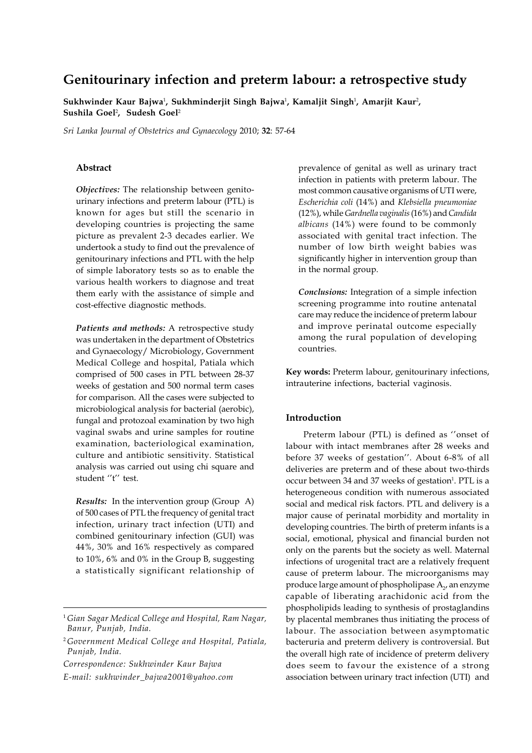# **Genitourinary infection and preterm labour: a retrospective study**

**Sukhwinder Kaur Bajwa**<sup>1</sup> **, Sukhminderjit Singh Bajwa**<sup>1</sup> **, Kamaljit Singh**<sup>1</sup> **, Amarjit Kaur**<sup>2</sup> **, Sushila Goel**<sup>2</sup> **, Sudesh Goel**<sup>2</sup>

*Sri Lanka Journal of Obstetrics and Gynaecology* 2010; **32**: 57-64

## **Abstract**

*Objectives:* The relationship between genitourinary infections and preterm labour (PTL) is known for ages but still the scenario in developing countries is projecting the same picture as prevalent 2-3 decades earlier. We undertook a study to find out the prevalence of genitourinary infections and PTL with the help of simple laboratory tests so as to enable the various health workers to diagnose and treat them early with the assistance of simple and cost-effective diagnostic methods.

*Patients and methods:* A retrospective study was undertaken in the department of Obstetrics and Gynaecology/ Microbiology, Government Medical College and hospital, Patiala which comprised of 500 cases in PTL between 28-37 weeks of gestation and 500 normal term cases for comparison. All the cases were subjected to microbiological analysis for bacterial (aerobic), fungal and protozoal examination by two high vaginal swabs and urine samples for routine examination, bacteriological examination, culture and antibiotic sensitivity. Statistical analysis was carried out using chi square and student ''t'' test.

*Results:* In the intervention group (Group A) of 500 cases of PTL the frequency of genital tract infection, urinary tract infection (UTI) and combined genitourinary infection (GUI) was 44%, 30% and 16% respectively as compared to 10%, 6% and 0% in the Group B, suggesting a statistically significant relationship of

*Correspondence: Sukhwinder Kaur Bajwa E-mail: sukhwinder\_bajwa2001@yahoo.com* prevalence of genital as well as urinary tract infection in patients with preterm labour. The most common causative organisms of UTI were, *Escherichia coli* (14%) and *Klebsiella pneumoniae* (12%), while *Gardnella vaginalis* (16%) and *Candida albicans* (14%) were found to be commonly associated with genital tract infection. The number of low birth weight babies was significantly higher in intervention group than in the normal group.

*Conclusions:* Integration of a simple infection screening programme into routine antenatal care may reduce the incidence of preterm labour and improve perinatal outcome especially among the rural population of developing countries.

**Key words:** Preterm labour, genitourinary infections, intrauterine infections, bacterial vaginosis.

# **Introduction**

Preterm labour (PTL) is defined as ''onset of labour with intact membranes after 28 weeks and before 37 weeks of gestation''. About 6-8% of all deliveries are preterm and of these about two-thirds occur between 34 and 37 weeks of gestation<sup>1</sup>. PTL is a heterogeneous condition with numerous associated social and medical risk factors. PTL and delivery is a major cause of perinatal morbidity and mortality in developing countries. The birth of preterm infants is a social, emotional, physical and financial burden not only on the parents but the society as well. Maternal infections of urogenital tract are a relatively frequent cause of preterm labour. The microorganisms may produce large amount of phospholipase  $\mathrm{A}_{\mathrm{2^{\prime}}}$  an enzyme capable of liberating arachidonic acid from the phospholipids leading to synthesis of prostaglandins by placental membranes thus initiating the process of labour. The association between asymptomatic bacteruria and preterm delivery is controversial. But the overall high rate of incidence of preterm delivery does seem to favour the existence of a strong association between urinary tract infection (UTI) and

<sup>1</sup> *Gian Sagar Medical College and Hospital, Ram Nagar, Banur, Punjab, India.*

<sup>2</sup> *Government Medical College and Hospital, Patiala, Punjab, India.*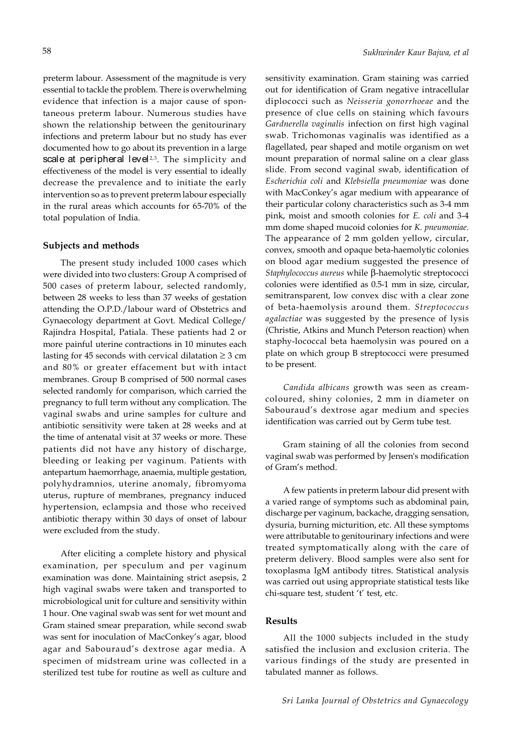preterm labour. Assessment of the magnitude is very essential to tackle the problem. There is overwhelming evidence that infection is a major cause of spontaneous preterm labour. Numerous studies have shown the relationship between the genitourinary infections and preterm labour but no study has ever documented how to go about its prevention in a large scale at peripheral level<sup> $2,3$ </sup>. The simplicity and effectiveness of the model is very essential to ideally decrease the prevalence and to initiate the early intervention so as to prevent preterm labour especially in the rural areas which accounts for 65-70% of the total population of India.

#### **Subjects and methods**

The present study included 1000 cases which were divided into two clusters: Group A comprised of 500 cases of preterm labour, selected randomly, between 28 weeks to less than 37 weeks of gestation attending the O.P.D./labour ward of Obstetrics and Gynaecology department at Govt. Medical College/ Rajindra Hospital, Patiala. These patients had 2 or more painful uterine contractions in 10 minutes each lasting for 45 seconds with cervical dilatation  $\geq$  3 cm and 80% or greater effacement but with intact membranes. Group B comprised of 500 normal cases selected randomly for comparison, which carried the pregnancy to full term without any complication. The vaginal swabs and urine samples for culture and antibiotic sensitivity were taken at 28 weeks and at the time of antenatal visit at 37 weeks or more. These patients did not have any history of discharge, bleeding or leaking per vaginum. Patients with antepartum haemorrhage, anaemia, multiple gestation, polyhydramnios, uterine anomaly, fibromyoma uterus, rupture of membranes, pregnancy induced hypertension, eclampsia and those who received antibiotic therapy within 30 days of onset of labour were excluded from the study.

After eliciting a complete history and physical examination, per speculum and per vaginum examination was done. Maintaining strict asepsis, 2 high vaginal swabs were taken and transported to microbiological unit for culture and sensitivity within 1 hour. One vaginal swab was sent for wet mount and Gram stained smear preparation, while second swab was sent for inoculation of MacConkey's agar, blood agar and Sabouraud's dextrose agar media. A specimen of midstream urine was collected in a sterilized test tube for routine as well as culture and

sensitivity examination. Gram staining was carried out for identification of Gram negative intracellular diplococci such as *Neisseria gonorrhoeae* and the presence of clue cells on staining which favours *Gardnerella vaginalis* infection on first high vaginal swab. Trichomonas vaginalis was identified as a flagellated, pear shaped and motile organism on wet mount preparation of normal saline on a clear glass slide. From second vaginal swab, identification of *Escherichia coli* and *Klebsiella pneumoniae* was done with MacConkey's agar medium with appearance of their particular colony characteristics such as 3-4 mm pink, moist and smooth colonies for *E. coli* and 3-4 mm dome shaped mucoid colonies for *K. pneumoniae*. The appearance of 2 mm golden yellow, circular, convex, smooth and opaque beta-haemolytic colonies on blood agar medium suggested the presence of *Staphylococcus aureus* while β-haemolytic streptococci colonies were identified as 0.5-1 mm in size, circular, semitransparent, low convex disc with a clear zone of beta-haemolysis around them. *Streptococcus agalactiae* was suggested by the presence of lysis (Christie, Atkins and Munch Peterson reaction) when staphy-lococcal beta haemolysin was poured on a plate on which group B streptococci were presumed to be present.

*Candida albicans* growth was seen as creamcoloured, shiny colonies, 2 mm in diameter on Sabouraud's dextrose agar medium and species identification was carried out by Germ tube test.

Gram staining of all the colonies from second vaginal swab was performed by Jensen's modification of Gram's method.

A few patients in preterm labour did present with a varied range of symptoms such as abdominal pain, discharge per vaginum, backache, dragging sensation, dysuria, burning micturition, etc. All these symptoms were attributable to genitourinary infections and were treated symptomatically along with the care of preterm delivery. Blood samples were also sent for toxoplasma IgM antibody titres. Statistical analysis was carried out using appropriate statistical tests like chi-square test, student 't' test, etc.

# **Results**

All the 1000 subjects included in the study satisfied the inclusion and exclusion criteria. The various findings of the study are presented in tabulated manner as follows.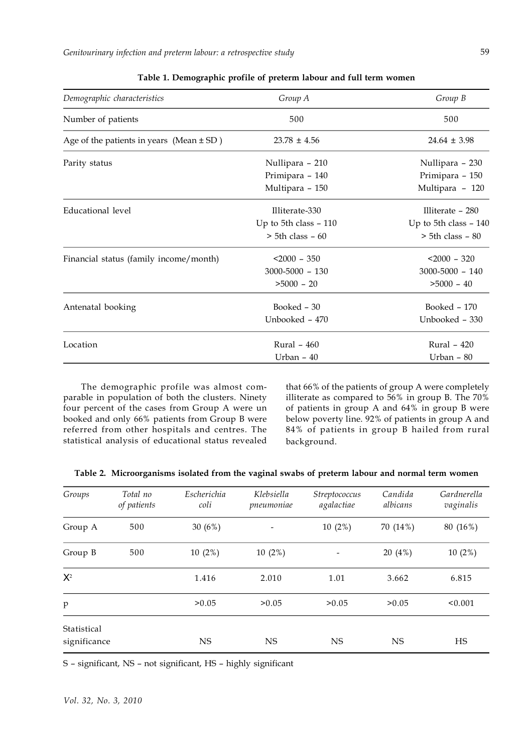*Genitourinary infection and preterm labour: a retrospective study*

| Demographic characteristics                  | Group A                | Group B                |
|----------------------------------------------|------------------------|------------------------|
| Number of patients                           | 500                    | 500                    |
| Age of the patients in years (Mean $\pm$ SD) | $23.78 \pm 4.56$       | $24.64 \pm 3.98$       |
| Parity status                                | Nullipara - 210        | Nullipara - 230        |
|                                              | Primipara - 140        | Primipara - 150        |
|                                              | Multipara - 150        | Multipara - 120        |
| Educational level                            | Illiterate-330         | Illiterate $-280$      |
|                                              | Up to 5th class $-110$ | Up to 5th class $-140$ |
|                                              | $>$ 5th class $-60$    | $>$ 5th class $-$ 80   |
| Financial status (family income/month)       | $< 2000 - 350$         | $< 2000 - 320$         |
|                                              | $3000 - 5000 - 130$    | $3000 - 5000 - 140$    |
|                                              | $>5000 - 20$           | $>5000 - 40$           |
| Antenatal booking                            | Booked - 30            | Booked - 170           |
|                                              | Unbooked - 470         | Unbooked - 330         |
| Location                                     | Rural - 460            | Rural - 420            |
|                                              | Urban - 40             | Urban - 80             |

The demographic profile was almost comparable in population of both the clusters. Ninety four percent of the cases from Group A were un booked and only 66% patients from Group B were referred from other hospitals and centres. The statistical analysis of educational status revealed

that 66% of the patients of group A were completely illiterate as compared to 56% in group B. The 70% of patients in group A and 64% in group B were below poverty line. 92% of patients in group A and 84% of patients in group B hailed from rural background.

| Table 2. Microorganisms isolated from the vaginal swabs of preterm labour and normal term women |  |  |  |  |
|-------------------------------------------------------------------------------------------------|--|--|--|--|
|                                                                                                 |  |  |  |  |

| Groups                      | Total no<br>of patients | Escherichia<br>coli | Klebsiella<br>pneumoniae | Streptococcus<br>agalactiae | Candida<br>albicans | Gardnerella<br>vaginalis |
|-----------------------------|-------------------------|---------------------|--------------------------|-----------------------------|---------------------|--------------------------|
| Group A                     | 500                     | 30 $(6%)$           | $\overline{\phantom{a}}$ | $10(2\%)$                   | 70 (14%)            | 80 (16%)                 |
| Group B                     | 500                     | 10(2%)              | 10(2%)                   |                             | 20 (4%)             | 10(2%)                   |
| $X^2$                       |                         | 1.416               | 2.010                    | 1.01                        | 3.662               | 6.815                    |
| p                           |                         | > 0.05              | >0.05                    | >0.05                       | > 0.05              | < 0.001                  |
| Statistical<br>significance |                         | NS                  | <b>NS</b>                | <b>NS</b>                   | <b>NS</b>           | HS                       |

S – significant, NS – not significant, HS – highly significant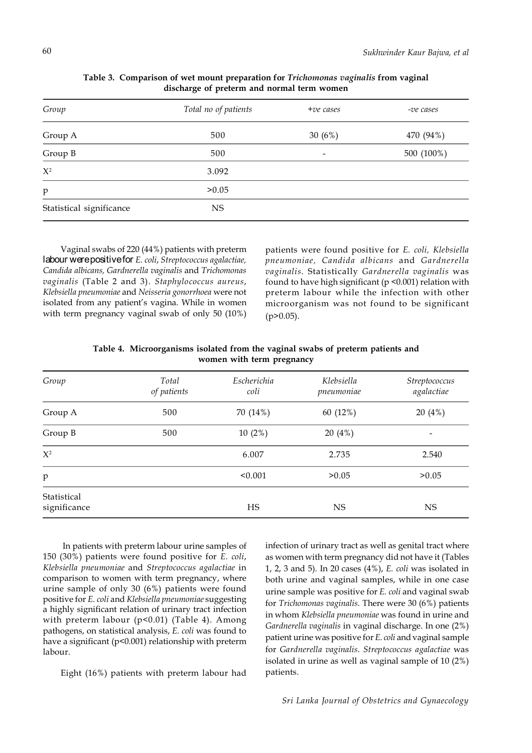| Group                    | Total no of patients | $+ve$ cases              | -ve cases  |
|--------------------------|----------------------|--------------------------|------------|
| Group A                  | 500                  | 30 $(6%)$                | 470 (94%)  |
| Group B                  | 500                  | $\overline{\phantom{a}}$ | 500 (100%) |
| $X^2$                    | 3.092                |                          |            |
| $\mathbf{p}$             | >0.05                |                          |            |
| Statistical significance | <b>NS</b>            |                          |            |

**Table 3. Comparison of wet mount preparation for** *Trichomonas vaginalis* **from vaginal discharge of preterm and normal term women**

Vaginal swabs of 220 (44%) patients with preterm labour were positive for *E. coli*, *Streptococcus agalactiae, Candida albicans, Gardnerella vaginalis* and *Trichomonas vaginalis* (Table 2 and 3). *Staphylococcus aureus*, *Klebsiella pneumoniae* and *Neisseria gonorrhoea* were not isolated from any patient's vagina. While in women with term pregnancy vaginal swab of only 50 (10%)

patients were found positive for *E. coli, Klebsiella pneumoniae, Candida albicans* and *Gardnerella vaginalis*. Statistically *Gardnerella vaginalis* was found to have high significant (p <0.001) relation with preterm labour while the infection with other microorganism was not found to be significant  $(p>0.05)$ .

| Table 4. Microorganisms isolated from the vaginal swabs of preterm patients and |                           |  |  |
|---------------------------------------------------------------------------------|---------------------------|--|--|
|                                                                                 | women with term pregnancy |  |  |

| Group                       | Total<br>of patients | Escherichia<br>coli | Klebsiella<br>pneumoniae | Streptococcus<br>agalactiae |
|-----------------------------|----------------------|---------------------|--------------------------|-----------------------------|
| Group A                     | 500                  | 70 (14%)            | 60 (12%)                 | 20(4%)                      |
| Group B                     | 500                  | 10(2%)              | 20(4%)                   |                             |
| $X^2$                       |                      | 6.007               | 2.735                    | 2.540                       |
| p                           |                      | < 0.001             | >0.05                    | >0.05                       |
| Statistical<br>significance |                      | HS                  | <b>NS</b>                | <b>NS</b>                   |

 In patients with preterm labour urine samples of 150 (30%) patients were found positive for *E. coli*, *Klebsiella pneumoniae* and *Streptococcus agalactiae* in comparison to women with term pregnancy, where urine sample of only 30 (6%) patients were found positive for *E. coli* and *Klebsiella pneumoniae* suggesting a highly significant relation of urinary tract infection with preterm labour (p<0.01) (Table 4). Among pathogens, on statistical analysis, *E. coli* was found to have a significant (p<0.001) relationship with preterm labour.

Eight (16%) patients with preterm labour had

infection of urinary tract as well as genital tract where as women with term pregnancy did not have it (Tables 1, 2, 3 and 5). In 20 cases (4%), *E. coli* was isolated in both urine and vaginal samples, while in one case urine sample was positive for *E. coli* and vaginal swab for *Trichomonas vaginalis*. There were 30 (6%) patients in whom *Klebsiella pneumoniae* was found in urine and *Gardnerella vaginalis* in vaginal discharge. In one (2%) patient urine was positive for *E. coli* and vaginal sample for *Gardnerella vaginalis*. *Streptococcus agalactiae* was isolated in urine as well as vaginal sample of 10 (2%) patients.

*Sri Lanka Journal of Obstetrics and Gynaecology*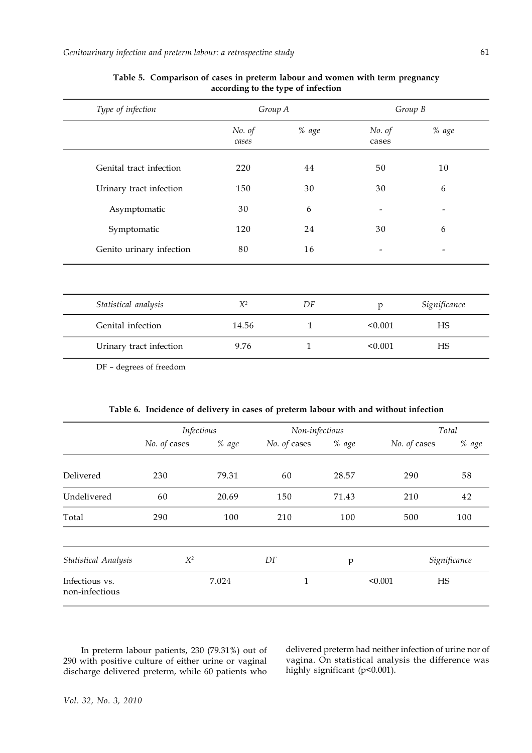| Type of infection        | Group A         |              |                 | Group B      |
|--------------------------|-----------------|--------------|-----------------|--------------|
|                          | No. of<br>cases | % age        | No. of<br>cases | % age        |
| Genital tract infection  | 220             | 44           | 50              | 10           |
| Urinary tract infection  | 150             | 30           | 30              | 6            |
| Asymptomatic             | 30              | 6            |                 |              |
| Symptomatic              | 120             | 24           | 30              | 6            |
| Genito urinary infection | 80              | 16           |                 |              |
|                          |                 |              |                 |              |
| Statistical analysis     | $X^2$           | DF           | p               | Significance |
| Genital infection        | 14.56           | $\mathbf{1}$ | < 0.001         | <b>HS</b>    |
| Urinary tract infection  | 9.76            | 1            | < 0.001         | HS           |
|                          |                 |              |                 |              |

# **Table 5. Comparison of cases in preterm labour and women with term pregnancy according to the type of infection**

DF – degrees of freedom

| Table 6. Incidence of delivery in cases of preterm labour with and without infection |  |  |  |  |
|--------------------------------------------------------------------------------------|--|--|--|--|
|                                                                                      |  |  |  |  |

|                                  | Infectious   |       | Non-infectious |       | Total        |              |  |
|----------------------------------|--------------|-------|----------------|-------|--------------|--------------|--|
|                                  | No. of cases | % age | No. of cases   | % age | No. of cases | % age        |  |
| Delivered                        | 230          | 79.31 | 60             | 28.57 | 290          | 58           |  |
| Undelivered                      | 60           | 20.69 | 150            | 71.43 | 210          | 42           |  |
| Total                            | 290          | 100   | 210            | 100   | 500          | 100          |  |
| <b>Statistical Analysis</b>      | $X^2$        |       | DF             | p     |              | Significance |  |
| Infectious vs.<br>non-infectious |              | 7.024 | 1              |       | < 0.001      | HS           |  |

In preterm labour patients, 230 (79.31%) out of 290 with positive culture of either urine or vaginal discharge delivered preterm, while 60 patients who

delivered preterm had neither infection of urine nor of vagina. On statistical analysis the difference was highly significant (p<0.001).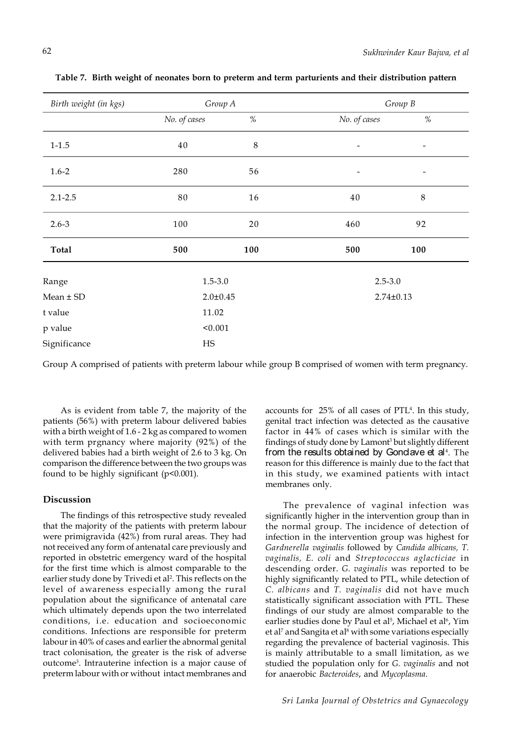| Birth weight (in kgs) | Group A        |         |                              | Group B                  |  |
|-----------------------|----------------|---------|------------------------------|--------------------------|--|
|                       | No. of cases   | $\%$    | No. of cases                 | $\%$                     |  |
| $1 - 1.5$             | $40\,$         | $\,8\,$ | $\qquad \qquad \blacksquare$ |                          |  |
| $1.6 - 2$             | 280            | 56      | $\overline{\phantom{a}}$     | $\overline{\phantom{0}}$ |  |
| $2.1 - 2.5$           | $8\,0$         | 16      | 40                           | $\,8\,$                  |  |
| $2.6 - 3$             | 100            | 20      | 460                          | 92                       |  |
| Total                 | 500            | 100     | 500                          | 100                      |  |
| Range                 | $1.5 - 3.0$    |         | $2.5 - 3.0$                  |                          |  |
| $Mean \pm SD$         | $2.0 \pm 0.45$ |         | $2.74 \pm 0.13$              |                          |  |
| t value               | 11.02          |         |                              |                          |  |
| p value               | < 0.001        |         |                              |                          |  |
| Significance          | HS             |         |                              |                          |  |

**Table 7. Birth weight of neonates born to preterm and term parturients and their distribution pattern**

Group A comprised of patients with preterm labour while group B comprised of women with term pregnancy.

As is evident from table 7, the majority of the patients (56%) with preterm labour delivered babies with a birth weight of 1.6 - 2 kg as compared to women with term prgnancy where majority (92%) of the delivered babies had a birth weight of 2.6 to 3 kg. On comparison the difference between the two groups was found to be highly significant (p<0.001).

## **Discussion**

The findings of this retrospective study revealed that the majority of the patients with preterm labour were primigravida (42%) from rural areas. They had not received any form of antenatal care previously and reported in obstetric emergency ward of the hospital for the first time which is almost comparable to the earlier study done by Trivedi et al². This reflects on the level of awareness especially among the rural population about the significance of antenatal care which ultimately depends upon the two interrelated conditions, i.e. education and socioeconomic conditions. Infections are responsible for preterm labour in 40% of cases and earlier the abnormal genital tract colonisation, the greater is the risk of adverse outcome<sup>3</sup> . Intrauterine infection is a major cause of preterm labour with or without intact membranes and

accounts for 25% of all cases of PTL<sup>4</sup> . In this study, genital tract infection was detected as the causative factor in 44% of cases which is similar with the findings of study done by Lamont<sup>3</sup> but slightly different from the results obtained by Gondave et al<sup>4</sup>. The reason for this difference is mainly due to the fact that in this study, we examined patients with intact membranes only.

The prevalence of vaginal infection was significantly higher in the intervention group than in the normal group. The incidence of detection of infection in the intervention group was highest for *Gardnerella vaginalis* followed by *Candida albicans, T. vaginalis, E. coli* and *Streptococcus aglacticiae* in descending order. *G. vaginalis* was reported to be highly significantly related to PTL, while detection of *C. albicans* and *T. vaginalis* did not have much statistically significant association with PTL. These findings of our study are almost comparable to the earlier studies done by Paul et al<sup>5</sup>, Michael et al<sup>6</sup>, Yim et al<sup>7</sup> and Sangita et al<sup>8</sup> with some variations especially regarding the prevalence of bacterial vaginosis. This is mainly attributable to a small limitation, as we studied the population only for *G. vaginalis* and not for anaerobic *Bacteroides*, and *Mycoplasma*.

*Sri Lanka Journal of Obstetrics and Gynaecology*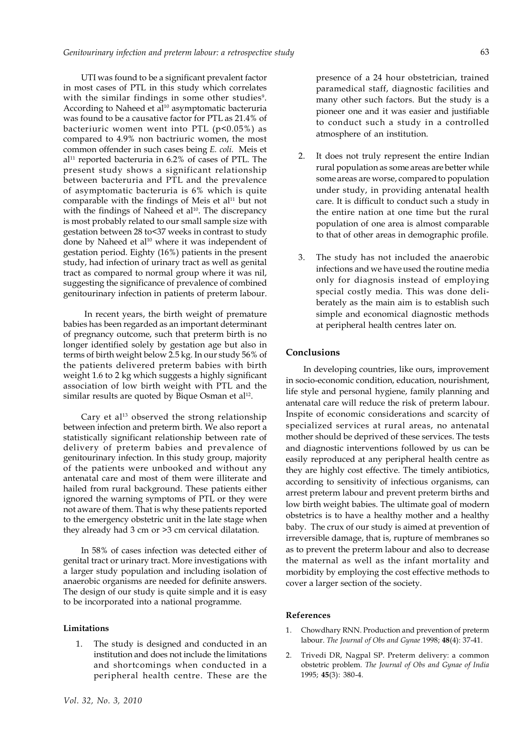UTI was found to be a significant prevalent factor in most cases of PTL in this study which correlates with the similar findings in some other studies<sup>9</sup>. According to Naheed et al<sup>10</sup> asymptomatic bacteruria was found to be a causative factor for PTL as 21.4% of bacteriuric women went into PTL  $(p<0.05%)$  as compared to 4.9% non bactriuric women, the most common offender in such cases being *E. coli.* Meis et  $al<sup>11</sup>$  reported bacteruria in 6.2% of cases of PTL. The present study shows a significant relationship between bacteruria and PTL and the prevalence of asymptomatic bacteruria is 6% which is quite comparable with the findings of Meis et al<sup>11</sup> but not with the findings of Naheed et al<sup>10</sup>. The discrepancy is most probably related to our small sample size with gestation between 28 to<37 weeks in contrast to study done by Naheed et al<sup>10</sup> where it was independent of gestation period. Eighty (16%) patients in the present study, had infection of urinary tract as well as genital tract as compared to normal group where it was nil, suggesting the significance of prevalence of combined genitourinary infection in patients of preterm labour.

 In recent years, the birth weight of premature babies has been regarded as an important determinant of pregnancy outcome, such that preterm birth is no longer identified solely by gestation age but also in terms of birth weight below 2.5 kg. In our study 56% of the patients delivered preterm babies with birth weight 1.6 to 2 kg which suggests a highly significant association of low birth weight with PTL and the  $s$ imilar results are quoted by Bique Osman et al $^{12}$ .

Cary et al<sup>13</sup> observed the strong relationship between infection and preterm birth. We also report a statistically significant relationship between rate of delivery of preterm babies and prevalence of genitourinary infection. In this study group, majority of the patients were unbooked and without any antenatal care and most of them were illiterate and hailed from rural background. These patients either ignored the warning symptoms of PTL or they were not aware of them. That is why these patients reported to the emergency obstetric unit in the late stage when they already had 3 cm or >3 cm cervical dilatation.

In 58% of cases infection was detected either of genital tract or urinary tract. More investigations with a larger study population and including isolation of anaerobic organisms are needed for definite answers. The design of our study is quite simple and it is easy to be incorporated into a national programme.

#### **Limitations**

1. The study is designed and conducted in an institution and does not include the limitations and shortcomings when conducted in a peripheral health centre. These are the presence of a 24 hour obstetrician, trained paramedical staff, diagnostic facilities and many other such factors. But the study is a pioneer one and it was easier and justifiable to conduct such a study in a controlled atmosphere of an institution.

- 2. It does not truly represent the entire Indian rural population as some areas are better while some areas are worse, compared to population under study, in providing antenatal health care. It is difficult to conduct such a study in the entire nation at one time but the rural population of one area is almost comparable to that of other areas in demographic profile.
- 3. The study has not included the anaerobic infections and we have used the routine media only for diagnosis instead of employing special costly media. This was done deliberately as the main aim is to establish such simple and economical diagnostic methods at peripheral health centres later on.

## **Conclusions**

In developing countries, like ours, improvement in socio-economic condition, education, nourishment, life style and personal hygiene, family planning and antenatal care will reduce the risk of preterm labour. Inspite of economic considerations and scarcity of specialized services at rural areas, no antenatal mother should be deprived of these services. The tests and diagnostic interventions followed by us can be easily reproduced at any peripheral health centre as they are highly cost effective. The timely antibiotics, according to sensitivity of infectious organisms, can arrest preterm labour and prevent preterm births and low birth weight babies. The ultimate goal of modern obstetrics is to have a healthy mother and a healthy baby. The crux of our study is aimed at prevention of irreversible damage, that is, rupture of membranes so as to prevent the preterm labour and also to decrease the maternal as well as the infant mortality and morbidity by employing the cost effective methods to cover a larger section of the society.

## **References**

- 1. Chowdhary RNN. Production and prevention of preterm labour. *The Journal of Obs and Gynae* 1998; **48**(4): 37-41.
- 2. Trivedi DR, Nagpal SP. Preterm delivery: a common obstetric problem. *The Journal of Obs and Gynae of India* 1995; **45**(3): 380-4.